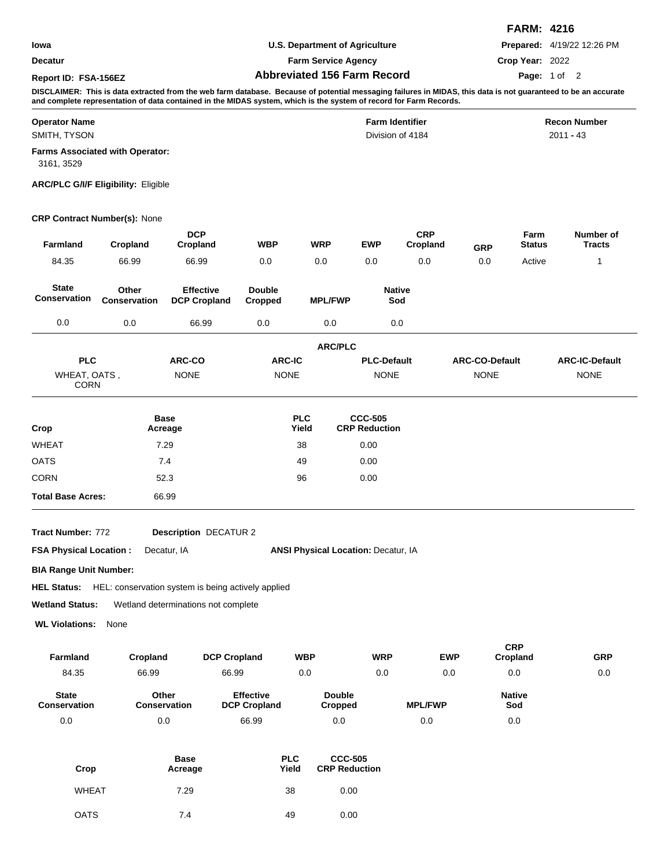|                      |                                    | <b>FARM: 4216</b>                 |
|----------------------|------------------------------------|-----------------------------------|
| lowa                 | U.S. Department of Agriculture     | <b>Prepared:</b> 4/19/22 12:26 PM |
| <b>Decatur</b>       | <b>Farm Service Agency</b>         | Crop Year: 2022                   |
| Report ID: FSA-156EZ | <b>Abbreviated 156 Farm Record</b> | Page: 1 of 2                      |

**DISCLAIMER: This is data extracted from the web farm database. Because of potential messaging failures in MIDAS, this data is not guaranteed to be an accurate and complete representation of data contained in the MIDAS system, which is the system of record for Farm Records.**

| <b>Operator Name</b>                                 | <b>Farm Identifier</b> | <b>Recon Number</b> |
|------------------------------------------------------|------------------------|---------------------|
| SMITH, TYSON                                         | Division of 4184       | $2011 - 43$         |
| <b>Farms Associated with Operator:</b><br>3161, 3529 |                        |                     |

**ARC/PLC G/I/F Eligibility:** Eligible

## **CRP Contract Number(s):** None

| <b>Farmland</b>                     | Cropland              | <b>DCP</b><br>Cropland                  | <b>WBP</b>               | <b>WRP</b>          | <b>EWP</b>                             | <b>CRP</b><br>Cropland | <b>GRP</b>            | Farm<br><b>Status</b> | Number of<br><b>Tracts</b> |
|-------------------------------------|-----------------------|-----------------------------------------|--------------------------|---------------------|----------------------------------------|------------------------|-----------------------|-----------------------|----------------------------|
| 84.35                               | 66.99                 | 66.99                                   | 0.0                      | 0.0                 | 0.0                                    | 0.0                    | 0.0                   | Active                | 1                          |
| <b>State</b><br><b>Conservation</b> | Other<br>Conservation | <b>Effective</b><br><b>DCP Cropland</b> | <b>Double</b><br>Cropped | <b>MPL/FWP</b>      |                                        | <b>Native</b><br>Sod   |                       |                       |                            |
| 0.0                                 | 0.0                   | 66.99                                   | 0.0                      | 0.0                 |                                        | 0.0                    |                       |                       |                            |
|                                     |                       |                                         |                          | <b>ARC/PLC</b>      |                                        |                        |                       |                       |                            |
| <b>PLC</b>                          |                       | ARC-CO                                  | <b>ARC-IC</b>            |                     | <b>PLC-Default</b>                     |                        | <b>ARC-CO-Default</b> |                       | <b>ARC-IC-Default</b>      |
| WHEAT, OATS,<br><b>CORN</b>         |                       | <b>NONE</b>                             | <b>NONE</b>              |                     | <b>NONE</b>                            |                        | <b>NONE</b>           |                       | <b>NONE</b>                |
| Crop                                |                       | <b>Base</b><br>Acreage                  |                          | <b>PLC</b><br>Yield | <b>CCC-505</b><br><b>CRP Reduction</b> |                        |                       |                       |                            |
| <b>WHEAT</b>                        |                       | 7.29                                    |                          | 38                  | 0.00                                   |                        |                       |                       |                            |
| <b>OATS</b>                         |                       | 7.4                                     |                          | 49                  | 0.00                                   |                        |                       |                       |                            |
| <b>CORN</b>                         |                       | 52.3                                    |                          | 96                  | 0.00                                   |                        |                       |                       |                            |
| <b>Total Base Acres:</b>            |                       | 66.99                                   |                          |                     |                                        |                        |                       |                       |                            |

**Tract Number:**

**Description** DECATUR 2

**FSA Physical Location :** Decatur, IA

ANSI Physical Location: Decatur, IA

**CRP**

**BIA Range Unit Number:**

HEL Status: HEL: conservation system is being actively applied

**Wetland Status:** Wetland determinations not complete

**WL Violations:** None

| <b>Farmland</b>                     | Cropland              | <b>DCP Cropland</b>                     | <b>WBP</b>               | <b>WRP</b> | <b>EWP</b>     | <b>CRP</b><br>Cropland | <b>GRP</b> |
|-------------------------------------|-----------------------|-----------------------------------------|--------------------------|------------|----------------|------------------------|------------|
| 84.35                               | 66.99                 | 66.99                                   | 0.0                      | 0.0        | 0.0            | 0.0                    | 0.0        |
| <b>State</b><br><b>Conservation</b> | Other<br>Conservation | <b>Effective</b><br><b>DCP Cropland</b> | <b>Double</b><br>Cropped |            | <b>MPL/FWP</b> | <b>Native</b><br>Sod   |            |
| 0.0                                 | 0.0                   | 66.99                                   | 0.0                      |            | 0.0            | 0.0                    |            |

| Crop         | <b>Base</b><br>Acreage | <b>PLC</b><br>Yield | <b>CCC-505</b><br><b>CRP Reduction</b> |
|--------------|------------------------|---------------------|----------------------------------------|
| <b>WHEAT</b> | 7.29                   | 38                  | 0.00                                   |
| <b>OATS</b>  | 7.4                    | 49                  | 0.00                                   |